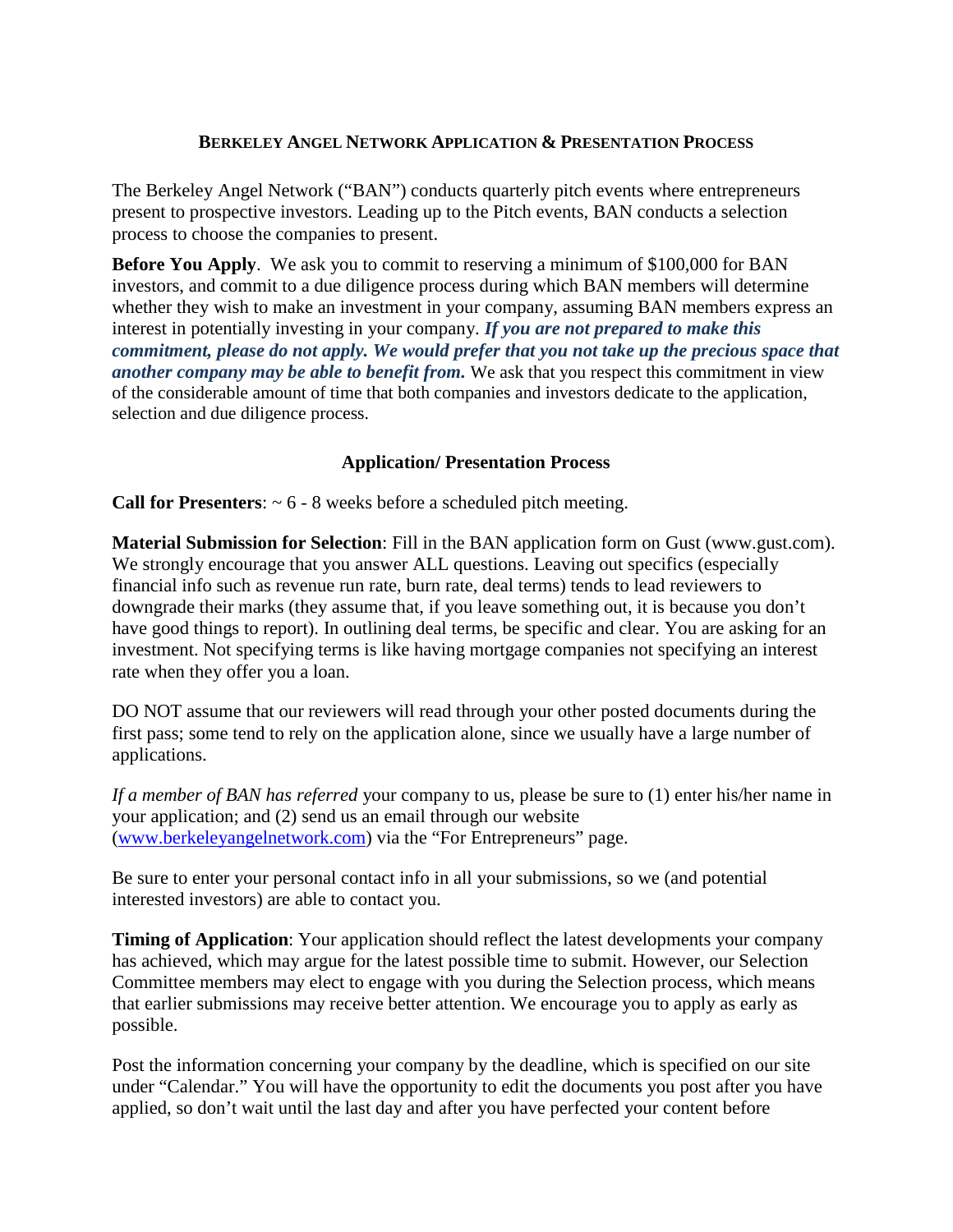## **BERKELEY ANGEL NETWORK APPLICATION & PRESENTATION PROCESS**

The Berkeley Angel Network ("BAN") conducts quarterly pitch events where entrepreneurs present to prospective investors. Leading up to the Pitch events, BAN conducts a selection process to choose the companies to present.

**Before You Apply**. We ask you to commit to reserving a minimum of \$100,000 for BAN investors, and commit to a due diligence process during which BAN members will determine whether they wish to make an investment in your company, assuming BAN members express an interest in potentially investing in your company. *If you are not prepared to make this commitment, please do not apply. We would prefer that you not take up the precious space that another company may be able to benefit from.* We ask that you respect this commitment in view of the considerable amount of time that both companies and investors dedicate to the application, selection and due diligence process.

## **Application/ Presentation Process**

**Call for Presenters**: ~ 6 - 8 weeks before a scheduled pitch meeting.

**Material Submission for Selection**: Fill in the BAN application form on Gust (www.gust.com). We strongly encourage that you answer ALL questions. Leaving out specifics (especially financial info such as revenue run rate, burn rate, deal terms) tends to lead reviewers to downgrade their marks (they assume that, if you leave something out, it is because you don't have good things to report). In outlining deal terms, be specific and clear. You are asking for an investment. Not specifying terms is like having mortgage companies not specifying an interest rate when they offer you a loan.

DO NOT assume that our reviewers will read through your other posted documents during the first pass; some tend to rely on the application alone, since we usually have a large number of applications.

*If a member of BAN has referred* your company to us, please be sure to (1) enter his/her name in your application; and (2) send us an email through our website [\(www.berkeleyangelnetwork.com\)](http://www.berkeleyangelnetwork.com/) via the "For Entrepreneurs" page.

Be sure to enter your personal contact info in all your submissions, so we (and potential interested investors) are able to contact you.

**Timing of Application**: Your application should reflect the latest developments your company has achieved, which may argue for the latest possible time to submit. However, our Selection Committee members may elect to engage with you during the Selection process, which means that earlier submissions may receive better attention. We encourage you to apply as early as possible.

Post the information concerning your company by the deadline, which is specified on our site under "Calendar." You will have the opportunity to edit the documents you post after you have applied, so don't wait until the last day and after you have perfected your content before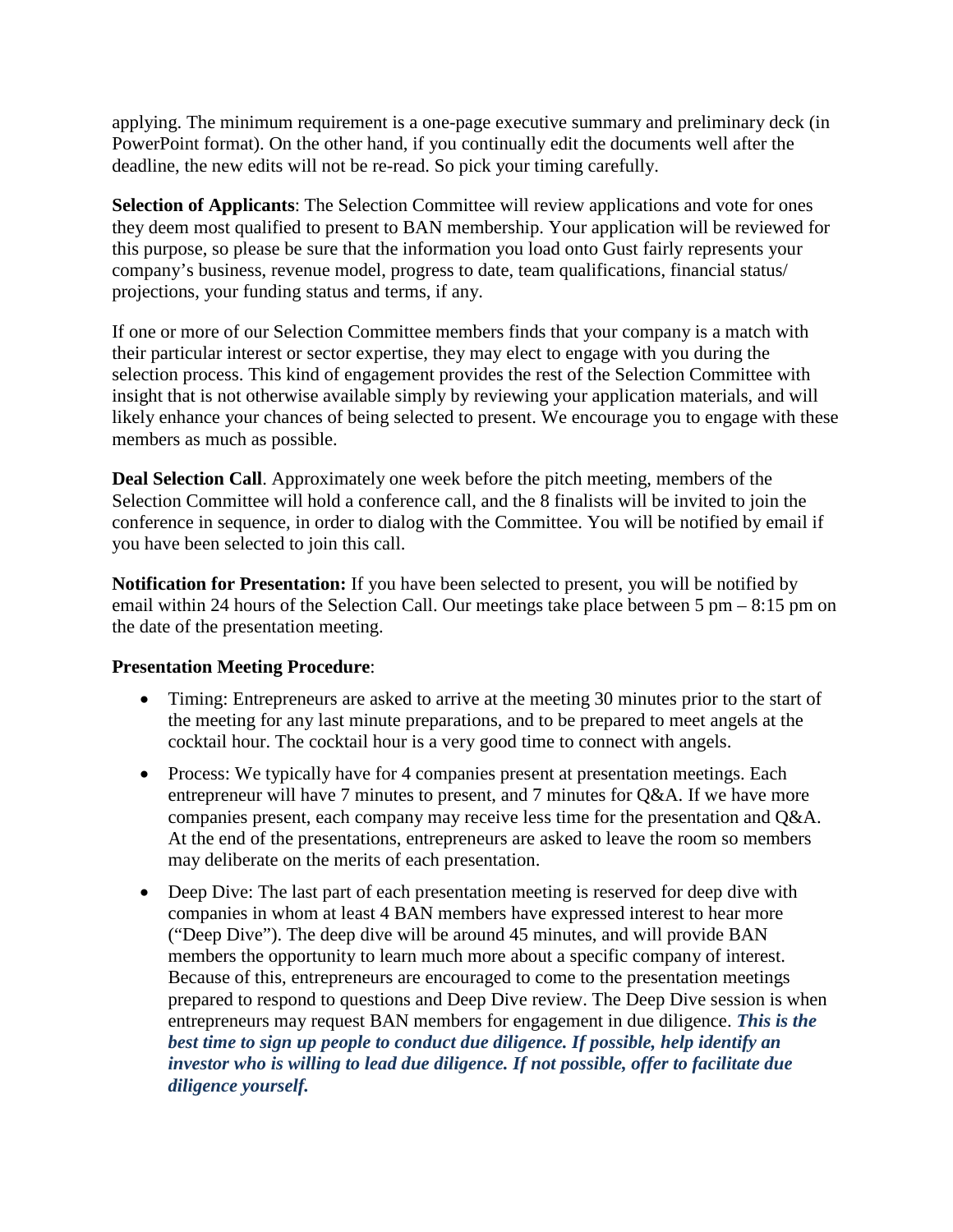applying. The minimum requirement is a one-page executive summary and preliminary deck (in PowerPoint format). On the other hand, if you continually edit the documents well after the deadline, the new edits will not be re-read. So pick your timing carefully.

**Selection of Applicants**: The Selection Committee will review applications and vote for ones they deem most qualified to present to BAN membership. Your application will be reviewed for this purpose, so please be sure that the information you load onto Gust fairly represents your company's business, revenue model, progress to date, team qualifications, financial status/ projections, your funding status and terms, if any.

If one or more of our Selection Committee members finds that your company is a match with their particular interest or sector expertise, they may elect to engage with you during the selection process. This kind of engagement provides the rest of the Selection Committee with insight that is not otherwise available simply by reviewing your application materials, and will likely enhance your chances of being selected to present. We encourage you to engage with these members as much as possible.

**Deal Selection Call**. Approximately one week before the pitch meeting, members of the Selection Committee will hold a conference call, and the 8 finalists will be invited to join the conference in sequence, in order to dialog with the Committee. You will be notified by email if you have been selected to join this call.

**Notification for Presentation:** If you have been selected to present, you will be notified by email within 24 hours of the Selection Call. Our meetings take place between 5 pm – 8:15 pm on the date of the presentation meeting.

## **Presentation Meeting Procedure**:

- Timing: Entrepreneurs are asked to arrive at the meeting 30 minutes prior to the start of the meeting for any last minute preparations, and to be prepared to meet angels at the cocktail hour. The cocktail hour is a very good time to connect with angels.
- Process: We typically have for 4 companies present at presentation meetings. Each entrepreneur will have 7 minutes to present, and 7 minutes for Q&A. If we have more companies present, each company may receive less time for the presentation and Q&A. At the end of the presentations, entrepreneurs are asked to leave the room so members may deliberate on the merits of each presentation.
- Deep Dive: The last part of each presentation meeting is reserved for deep dive with companies in whom at least 4 BAN members have expressed interest to hear more ("Deep Dive"). The deep dive will be around 45 minutes, and will provide BAN members the opportunity to learn much more about a specific company of interest. Because of this, entrepreneurs are encouraged to come to the presentation meetings prepared to respond to questions and Deep Dive review. The Deep Dive session is when entrepreneurs may request BAN members for engagement in due diligence. *This is the best time to sign up people to conduct due diligence. If possible, help identify an investor who is willing to lead due diligence. If not possible, offer to facilitate due diligence yourself.*